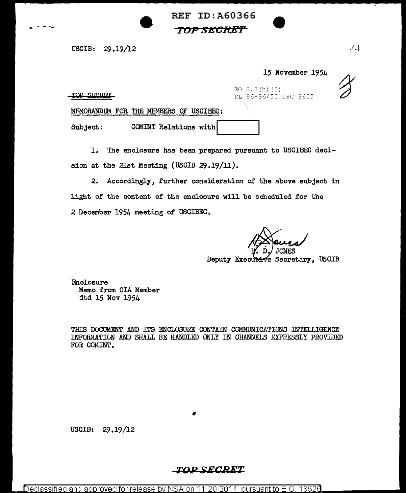REF ID:A60366 *TOP SEC:R;Er* 

USCIB: 29.19/12

15 November 1954

TOP SECRET

 $EO$  3.3(h)(2) PL 86-36/50 USC 3605

MEMORANDUM FOR THE MEMBERS OF USCIBEC:

Subject: COMINT Relations with

1. The enclosure has been prepared pursuant to USCIBEC decision at the 21st Meeting (USCIB 29.19/11).

2. Accordingly, further consideration of the above subject in light of the content of the enclosure will be scheduled for the 2 December 1954 meeting of USCIBEC.

Deputy Executive Secretary. USCIB

Enclosure Memo from CIA Member dtd 15 Nov 1954

THIS DOCUMENT AND ITS ENCLOSURE CONTAIN COMMUNICATIONS INTELLIGENCE INFORMATION AND SHALL BE HANDLED ONLY IN CHANNELS EXPRESSLY PROVIDED FOR COMINT.

USCIB: 29.19/12

## **TO,.v SECRET**

•

24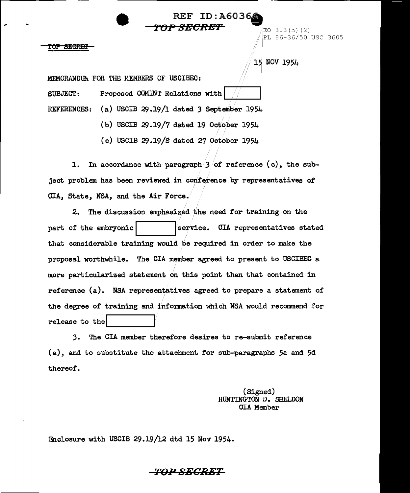$R = \text{ID: A6036}$ **'f'OP SBCR-ET** /EO 3. 3 ( h) ( 2) PL 86-36/50 USC 3605

15 NOV 1954

MEMORANDUM FOR THE MEMBERS OF USCIBEC: SUBJECT: Proposed COMINT Relations with REFERENCES: (a) USCIB 29.19/1 dated 3 September 1954

<del>SECRET</del>

(b) USCIB  $29.19/7$  dated 19 October 1954

 $(c)$  USCIB 29.19/8 dated 27 October 1954

1. In accordance with paragraph/ $3/$ of reference (c), the subject problem has been reviewed in conference by representatives of CIA, State, NSA, and the Air Force.

2. The discussion emphasized the need for training on the part of the embryonic  $\vert$  service. CIA representatives stated that considerable training would be required in order to make the proposal worthwhile. The CIA member agreed to present to USCIBEC a more particularized statement on this point than that contained in reference (a). NSA representatives agreed to prepare a statement of the degree of training and information which NSA would recommend for release to the

3. The CIA member therefore desires to re-submit reference (a), and to substitute the attachment for sub-paragraphs 5a and 5d thereof.

> (Signed) HUNTINGTON D. SHELDON CIA Member

Enclosure with USCIB 29.19/12 dtd 15 Nov 1954.

## *TQ..DSECRET*